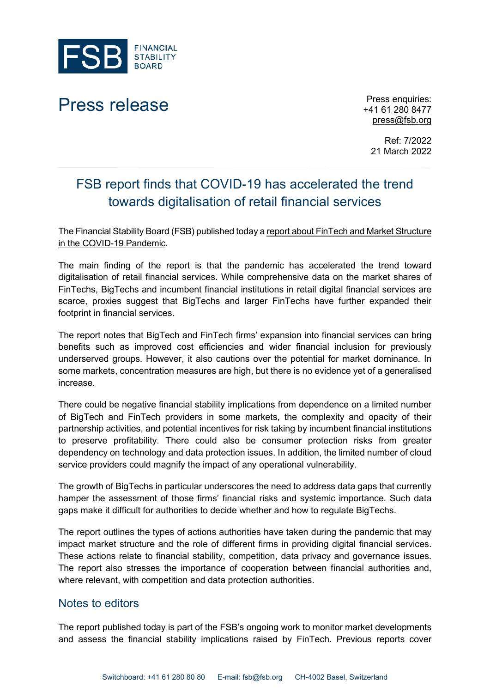

## Press release Press enquiries:

+41 61 280 8477 [press@fsb.org](mailto:press@fsb.org)

Ref: 7/2022 21 March 2022

## FSB report finds that COVID-19 has accelerated the trend towards digitalisation of retail financial services

The Financial Stability Board (FSB) published today a [report about FinTech and Market Structure](https://www.fsb.org/2022/03/fintech-and-market-structure-in-the-covid-19-pandemic-implications-for-financial-stability/)  [in the COVID-19 Pandemic.](https://www.fsb.org/2022/03/fintech-and-market-structure-in-the-covid-19-pandemic-implications-for-financial-stability/)

The main finding of the report is that the pandemic has accelerated the trend toward digitalisation of retail financial services. While comprehensive data on the market shares of FinTechs, BigTechs and incumbent financial institutions in retail digital financial services are scarce, proxies suggest that BigTechs and larger FinTechs have further expanded their footprint in financial services.

The report notes that BigTech and FinTech firms' expansion into financial services can bring benefits such as improved cost efficiencies and wider financial inclusion for previously underserved groups. However, it also cautions over the potential for market dominance. In some markets, concentration measures are high, but there is no evidence yet of a generalised increase.

There could be negative financial stability implications from dependence on a limited number of BigTech and FinTech providers in some markets, the complexity and opacity of their partnership activities, and potential incentives for risk taking by incumbent financial institutions to preserve profitability. There could also be consumer protection risks from greater dependency on technology and data protection issues. In addition, the limited number of cloud service providers could magnify the impact of any operational vulnerability.

The growth of BigTechs in particular underscores the need to address data gaps that currently hamper the assessment of those firms' financial risks and systemic importance. Such data gaps make it difficult for authorities to decide whether and how to regulate BigTechs.

The report outlines the types of actions authorities have taken during the pandemic that may impact market structure and the role of different firms in providing digital financial services. These actions relate to financial stability, competition, data privacy and governance issues. The report also stresses the importance of cooperation between financial authorities and, where relevant, with competition and data protection authorities.

## Notes to editors

The report published today is part of the FSB's ongoing work to monitor market developments and assess the financial stability implications raised by FinTech. Previous reports cover